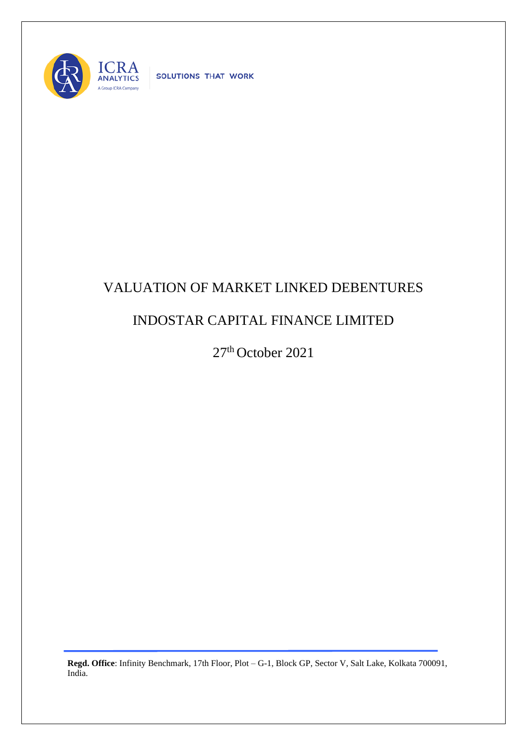

SOLUTIONS THAT WORK

## VALUATION OF MARKET LINKED DEBENTURES

## INDOSTAR CAPITAL FINANCE LIMITED

27 th October 2021

**Regd. Office**: Infinity Benchmark, 17th Floor, Plot – G-1, Block GP, Sector V, Salt Lake, Kolkata 700091, India.